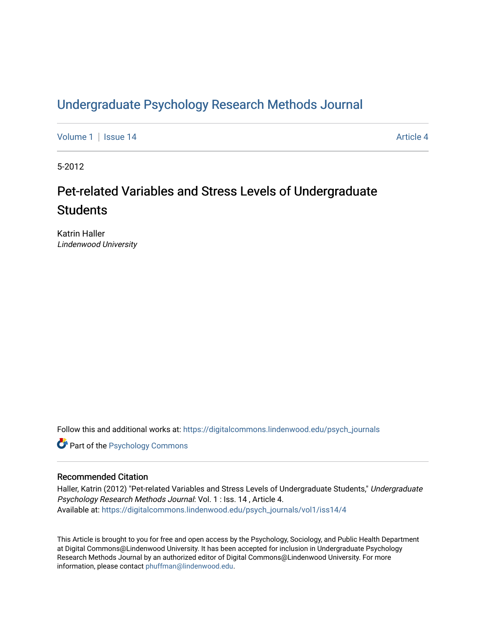# [Undergraduate Psychology Research Methods Journal](https://digitalcommons.lindenwood.edu/psych_journals)

[Volume 1](https://digitalcommons.lindenwood.edu/psych_journals/vol1) | [Issue 14](https://digitalcommons.lindenwood.edu/psych_journals/vol1/iss14) Article 4

5-2012

# Pet-related Variables and Stress Levels of Undergraduate **Students**

Katrin Haller Lindenwood University

Follow this and additional works at: [https://digitalcommons.lindenwood.edu/psych\\_journals](https://digitalcommons.lindenwood.edu/psych_journals?utm_source=digitalcommons.lindenwood.edu%2Fpsych_journals%2Fvol1%2Fiss14%2F4&utm_medium=PDF&utm_campaign=PDFCoverPages) 

**Part of the Psychology Commons** 

### Recommended Citation

Haller, Katrin (2012) "Pet-related Variables and Stress Levels of Undergraduate Students," Undergraduate Psychology Research Methods Journal: Vol. 1 : Iss. 14 , Article 4. Available at: [https://digitalcommons.lindenwood.edu/psych\\_journals/vol1/iss14/4](https://digitalcommons.lindenwood.edu/psych_journals/vol1/iss14/4?utm_source=digitalcommons.lindenwood.edu%2Fpsych_journals%2Fvol1%2Fiss14%2F4&utm_medium=PDF&utm_campaign=PDFCoverPages) 

This Article is brought to you for free and open access by the Psychology, Sociology, and Public Health Department at Digital Commons@Lindenwood University. It has been accepted for inclusion in Undergraduate Psychology Research Methods Journal by an authorized editor of Digital Commons@Lindenwood University. For more information, please contact [phuffman@lindenwood.edu.](mailto:phuffman@lindenwood.edu)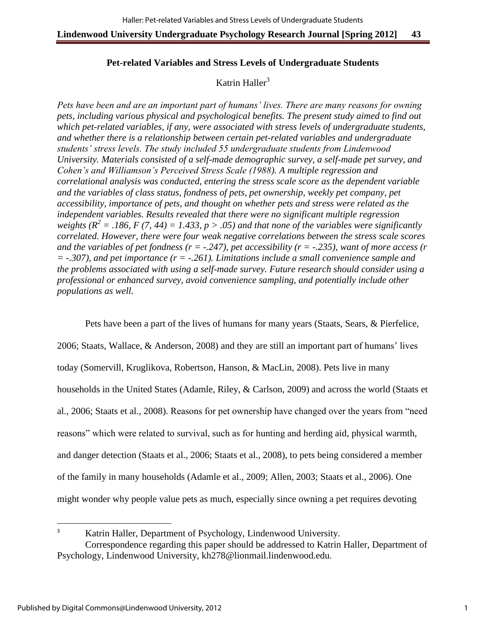## **Pet-related Variables and Stress Levels of Undergraduate Students**

# Katrin Haller $3$

*Pets have been and are an important part of humans' lives. There are many reasons for owning pets, including various physical and psychological benefits. The present study aimed to find out which pet-related variables, if any, were associated with stress levels of undergraduate students, and whether there is a relationship between certain pet-related variables and undergraduate students' stress levels. The study included 55 undergraduate students from Lindenwood University. Materials consisted of a self-made demographic survey, a self-made pet survey, and Cohen's and Williamson's Perceived Stress Scale (1988). A multiple regression and correlational analysis was conducted, entering the stress scale score as the dependent variable and the variables of class status, fondness of pets, pet ownership, weekly pet company, pet accessibility, importance of pets, and thought on whether pets and stress were related as the independent variables. Results revealed that there were no significant multiple regression weights (* $R^2$  *= .186, F (7, 44) = 1.433, p > .05) and that none of the variables were significantly correlated. However, there were four weak negative correlations between the stress scale scores and the variables of pet fondness (r = -.247), pet accessibility (r = -.235), want of more access (r = -.307), and pet importance (r = -.261). Limitations include a small convenience sample and the problems associated with using a self-made survey. Future research should consider using a professional or enhanced survey, avoid convenience sampling, and potentially include other populations as well.* 

 Pets have been a part of the lives of humans for many years (Staats, Sears, & Pierfelice, 2006; Staats, Wallace, & Anderson, 2008) and they are still an important part of humans' lives today (Somervill, Kruglikova, Robertson, Hanson, & MacLin, 2008). Pets live in many households in the United States (Adamle, Riley, & Carlson, 2009) and across the world (Staats et al., 2006; Staats et al., 2008). Reasons for pet ownership have changed over the years from "need reasons" which were related to survival, such as for hunting and herding aid, physical warmth, and danger detection (Staats et al., 2006; Staats et al., 2008), to pets being considered a member of the family in many households (Adamle et al., 2009; Allen, 2003; Staats et al., 2006). One might wonder why people value pets as much, especially since owning a pet requires devoting

l

<sup>3</sup> Katrin Haller, Department of Psychology, Lindenwood University. Correspondence regarding this paper should be addressed to Katrin Haller, Department of Psychology, Lindenwood University, kh278@lionmail.lindenwood.edu.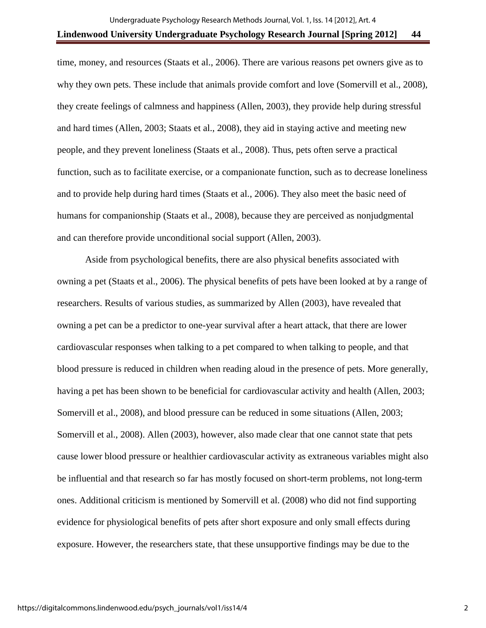time, money, and resources (Staats et al., 2006). There are various reasons pet owners give as to why they own pets. These include that animals provide comfort and love (Somervill et al., 2008), they create feelings of calmness and happiness (Allen, 2003), they provide help during stressful and hard times (Allen, 2003; Staats et al., 2008), they aid in staying active and meeting new people, and they prevent loneliness (Staats et al., 2008). Thus, pets often serve a practical function, such as to facilitate exercise, or a companionate function, such as to decrease loneliness and to provide help during hard times (Staats et al., 2006). They also meet the basic need of humans for companionship (Staats et al., 2008), because they are perceived as nonjudgmental and can therefore provide unconditional social support (Allen, 2003).

Aside from psychological benefits, there are also physical benefits associated with owning a pet (Staats et al., 2006). The physical benefits of pets have been looked at by a range of researchers. Results of various studies, as summarized by Allen (2003), have revealed that owning a pet can be a predictor to one-year survival after a heart attack, that there are lower cardiovascular responses when talking to a pet compared to when talking to people, and that blood pressure is reduced in children when reading aloud in the presence of pets. More generally, having a pet has been shown to be beneficial for cardiovascular activity and health (Allen, 2003; Somervill et al., 2008), and blood pressure can be reduced in some situations (Allen, 2003; Somervill et al., 2008). Allen (2003), however, also made clear that one cannot state that pets cause lower blood pressure or healthier cardiovascular activity as extraneous variables might also be influential and that research so far has mostly focused on short-term problems, not long-term ones. Additional criticism is mentioned by Somervill et al. (2008) who did not find supporting evidence for physiological benefits of pets after short exposure and only small effects during exposure. However, the researchers state, that these unsupportive findings may be due to the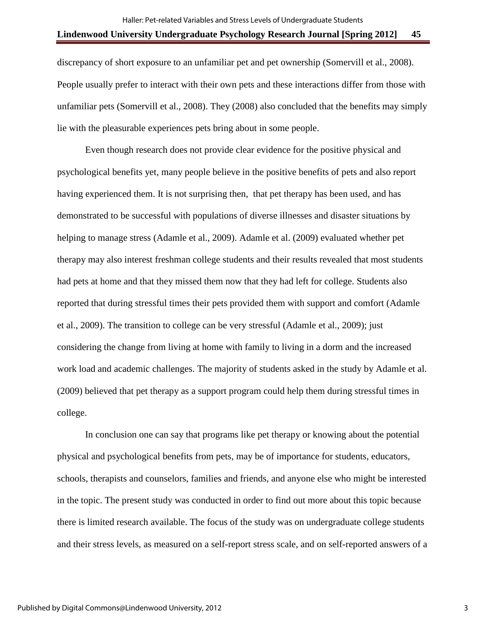discrepancy of short exposure to an unfamiliar pet and pet ownership (Somervill et al., 2008). People usually prefer to interact with their own pets and these interactions differ from those with unfamiliar pets (Somervill et al., 2008). They (2008) also concluded that the benefits may simply lie with the pleasurable experiences pets bring about in some people.

 Even though research does not provide clear evidence for the positive physical and psychological benefits yet, many people believe in the positive benefits of pets and also report having experienced them. It is not surprising then, that pet therapy has been used, and has demonstrated to be successful with populations of diverse illnesses and disaster situations by helping to manage stress (Adamle et al., 2009). Adamle et al. (2009) evaluated whether pet therapy may also interest freshman college students and their results revealed that most students had pets at home and that they missed them now that they had left for college. Students also reported that during stressful times their pets provided them with support and comfort (Adamle et al., 2009). The transition to college can be very stressful (Adamle et al., 2009); just considering the change from living at home with family to living in a dorm and the increased work load and academic challenges. The majority of students asked in the study by Adamle et al. (2009) believed that pet therapy as a support program could help them during stressful times in college.

In conclusion one can say that programs like pet therapy or knowing about the potential physical and psychological benefits from pets, may be of importance for students, educators, schools, therapists and counselors, families and friends, and anyone else who might be interested in the topic. The present study was conducted in order to find out more about this topic because there is limited research available. The focus of the study was on undergraduate college students and their stress levels, as measured on a self-report stress scale, and on self-reported answers of a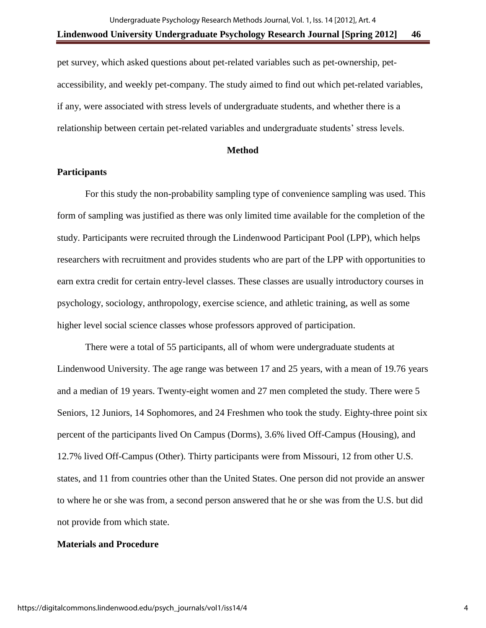pet survey, which asked questions about pet-related variables such as pet-ownership, petaccessibility, and weekly pet-company. The study aimed to find out which pet-related variables, if any, were associated with stress levels of undergraduate students, and whether there is a relationship between certain pet-related variables and undergraduate students' stress levels.

#### **Method**

## **Participants**

For this study the non-probability sampling type of convenience sampling was used. This form of sampling was justified as there was only limited time available for the completion of the study. Participants were recruited through the Lindenwood Participant Pool (LPP), which helps researchers with recruitment and provides students who are part of the LPP with opportunities to earn extra credit for certain entry-level classes. These classes are usually introductory courses in psychology, sociology, anthropology, exercise science, and athletic training, as well as some higher level social science classes whose professors approved of participation.

There were a total of 55 participants, all of whom were undergraduate students at Lindenwood University. The age range was between 17 and 25 years, with a mean of 19.76 years and a median of 19 years. Twenty-eight women and 27 men completed the study. There were 5 Seniors, 12 Juniors, 14 Sophomores, and 24 Freshmen who took the study. Eighty-three point six percent of the participants lived On Campus (Dorms), 3.6% lived Off-Campus (Housing), and 12.7% lived Off-Campus (Other). Thirty participants were from Missouri, 12 from other U.S. states, and 11 from countries other than the United States. One person did not provide an answer to where he or she was from, a second person answered that he or she was from the U.S. but did not provide from which state.

#### **Materials and Procedure**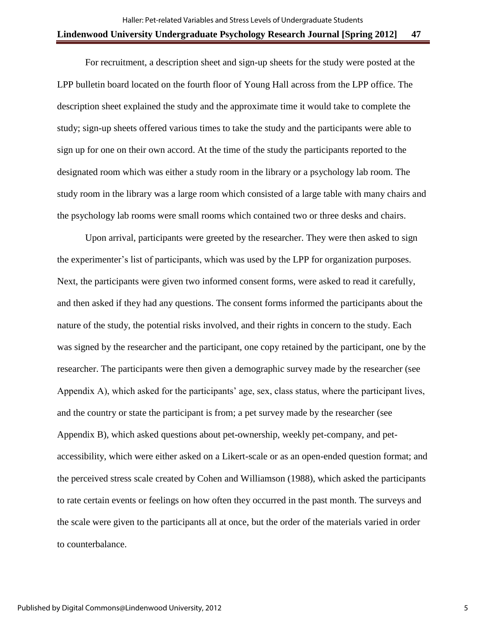For recruitment, a description sheet and sign-up sheets for the study were posted at the LPP bulletin board located on the fourth floor of Young Hall across from the LPP office. The description sheet explained the study and the approximate time it would take to complete the study; sign-up sheets offered various times to take the study and the participants were able to sign up for one on their own accord. At the time of the study the participants reported to the designated room which was either a study room in the library or a psychology lab room. The study room in the library was a large room which consisted of a large table with many chairs and the psychology lab rooms were small rooms which contained two or three desks and chairs.

Upon arrival, participants were greeted by the researcher. They were then asked to sign the experimenter's list of participants, which was used by the LPP for organization purposes. Next, the participants were given two informed consent forms, were asked to read it carefully, and then asked if they had any questions. The consent forms informed the participants about the nature of the study, the potential risks involved, and their rights in concern to the study. Each was signed by the researcher and the participant, one copy retained by the participant, one by the researcher. The participants were then given a demographic survey made by the researcher (see Appendix A), which asked for the participants' age, sex, class status, where the participant lives, and the country or state the participant is from; a pet survey made by the researcher (see Appendix B), which asked questions about pet-ownership, weekly pet-company, and petaccessibility, which were either asked on a Likert-scale or as an open-ended question format; and the perceived stress scale created by Cohen and Williamson (1988), which asked the participants to rate certain events or feelings on how often they occurred in the past month. The surveys and the scale were given to the participants all at once, but the order of the materials varied in order to counterbalance.

5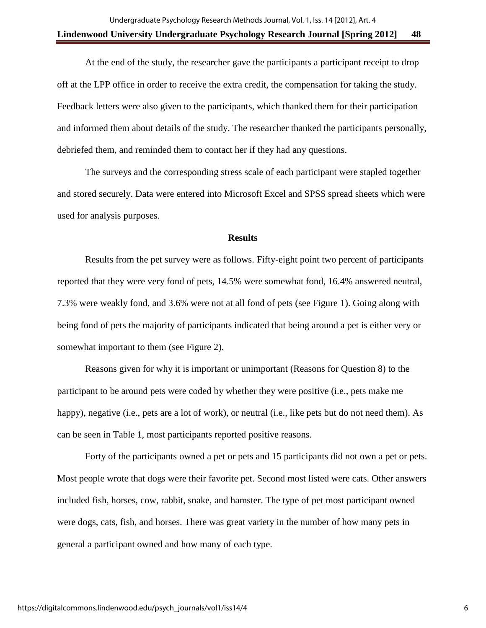At the end of the study, the researcher gave the participants a participant receipt to drop off at the LPP office in order to receive the extra credit, the compensation for taking the study. Feedback letters were also given to the participants, which thanked them for their participation and informed them about details of the study. The researcher thanked the participants personally, debriefed them, and reminded them to contact her if they had any questions.

The surveys and the corresponding stress scale of each participant were stapled together and stored securely. Data were entered into Microsoft Excel and SPSS spread sheets which were used for analysis purposes.

### **Results**

 Results from the pet survey were as follows. Fifty-eight point two percent of participants reported that they were very fond of pets, 14.5% were somewhat fond, 16.4% answered neutral, 7.3% were weakly fond, and 3.6% were not at all fond of pets (see Figure 1). Going along with being fond of pets the majority of participants indicated that being around a pet is either very or somewhat important to them (see Figure 2).

Reasons given for why it is important or unimportant (Reasons for Question 8) to the participant to be around pets were coded by whether they were positive (i.e., pets make me happy), negative (i.e., pets are a lot of work), or neutral (i.e., like pets but do not need them). As can be seen in Table 1, most participants reported positive reasons.

Forty of the participants owned a pet or pets and 15 participants did not own a pet or pets. Most people wrote that dogs were their favorite pet. Second most listed were cats. Other answers included fish, horses, cow, rabbit, snake, and hamster. The type of pet most participant owned were dogs, cats, fish, and horses. There was great variety in the number of how many pets in general a participant owned and how many of each type.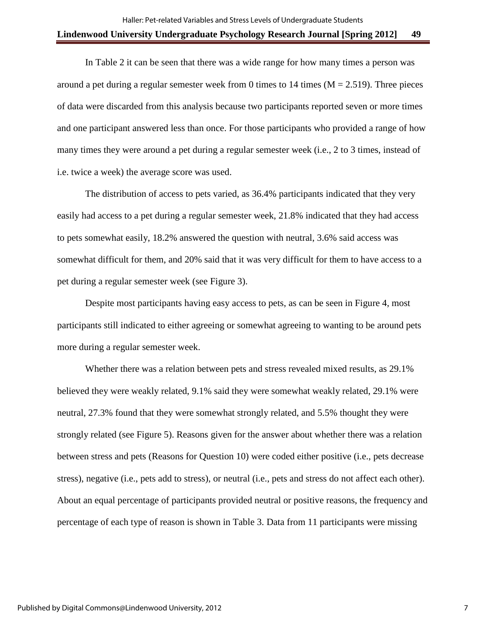In Table 2 it can be seen that there was a wide range for how many times a person was around a pet during a regular semester week from 0 times to 14 times  $(M = 2.519)$ . Three pieces of data were discarded from this analysis because two participants reported seven or more times and one participant answered less than once. For those participants who provided a range of how many times they were around a pet during a regular semester week (i.e., 2 to 3 times, instead of i.e. twice a week) the average score was used.

The distribution of access to pets varied, as 36.4% participants indicated that they very easily had access to a pet during a regular semester week, 21.8% indicated that they had access to pets somewhat easily, 18.2% answered the question with neutral, 3.6% said access was somewhat difficult for them, and 20% said that it was very difficult for them to have access to a pet during a regular semester week (see Figure 3).

Despite most participants having easy access to pets, as can be seen in Figure 4, most participants still indicated to either agreeing or somewhat agreeing to wanting to be around pets more during a regular semester week.

Whether there was a relation between pets and stress revealed mixed results, as 29.1% believed they were weakly related, 9.1% said they were somewhat weakly related, 29.1% were neutral, 27.3% found that they were somewhat strongly related, and 5.5% thought they were strongly related (see Figure 5). Reasons given for the answer about whether there was a relation between stress and pets (Reasons for Question 10) were coded either positive (i.e., pets decrease stress), negative (i.e., pets add to stress), or neutral (i.e., pets and stress do not affect each other). About an equal percentage of participants provided neutral or positive reasons, the frequency and percentage of each type of reason is shown in Table 3. Data from 11 participants were missing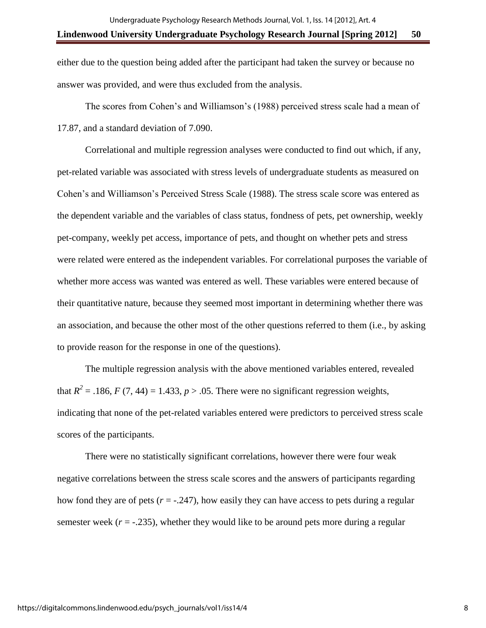# either due to the question being added after the participant had taken the survey or because no answer was provided, and were thus excluded from the analysis.

The scores from Cohen's and Williamson's (1988) perceived stress scale had a mean of 17.87, and a standard deviation of 7.090.

Correlational and multiple regression analyses were conducted to find out which, if any, pet-related variable was associated with stress levels of undergraduate students as measured on Cohen's and Williamson's Perceived Stress Scale (1988). The stress scale score was entered as the dependent variable and the variables of class status, fondness of pets, pet ownership, weekly pet-company, weekly pet access, importance of pets, and thought on whether pets and stress were related were entered as the independent variables. For correlational purposes the variable of whether more access was wanted was entered as well. These variables were entered because of their quantitative nature, because they seemed most important in determining whether there was an association, and because the other most of the other questions referred to them (i.e., by asking to provide reason for the response in one of the questions).

The multiple regression analysis with the above mentioned variables entered, revealed that  $R^2 = .186$ ,  $F(7, 44) = 1.433$ ,  $p > .05$ . There were no significant regression weights, indicating that none of the pet-related variables entered were predictors to perceived stress scale scores of the participants.

There were no statistically significant correlations, however there were four weak negative correlations between the stress scale scores and the answers of participants regarding how fond they are of pets  $(r = -.247)$ , how easily they can have access to pets during a regular semester week  $(r = -0.235)$ , whether they would like to be around pets more during a regular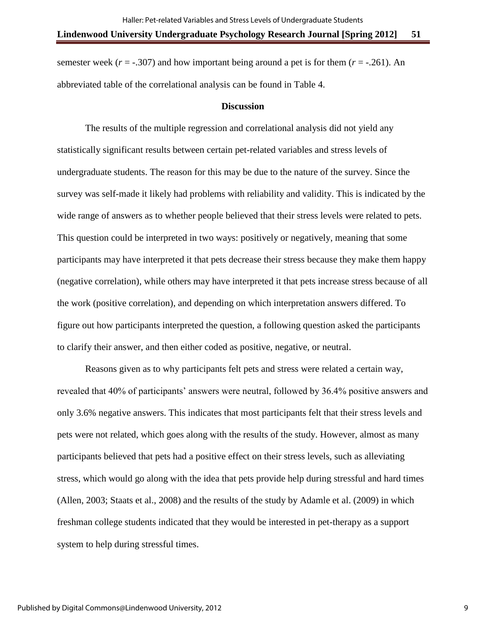semester week  $(r = -0.307)$  and how important being around a pet is for them  $(r = -0.261)$ . An abbreviated table of the correlational analysis can be found in Table 4.

### **Discussion**

The results of the multiple regression and correlational analysis did not yield any statistically significant results between certain pet-related variables and stress levels of undergraduate students. The reason for this may be due to the nature of the survey. Since the survey was self-made it likely had problems with reliability and validity. This is indicated by the wide range of answers as to whether people believed that their stress levels were related to pets. This question could be interpreted in two ways: positively or negatively, meaning that some participants may have interpreted it that pets decrease their stress because they make them happy (negative correlation), while others may have interpreted it that pets increase stress because of all the work (positive correlation), and depending on which interpretation answers differed. To figure out how participants interpreted the question, a following question asked the participants to clarify their answer, and then either coded as positive, negative, or neutral.

Reasons given as to why participants felt pets and stress were related a certain way, revealed that 40% of participants' answers were neutral, followed by 36.4% positive answers and only 3.6% negative answers. This indicates that most participants felt that their stress levels and pets were not related, which goes along with the results of the study. However, almost as many participants believed that pets had a positive effect on their stress levels, such as alleviating stress, which would go along with the idea that pets provide help during stressful and hard times (Allen, 2003; Staats et al., 2008) and the results of the study by Adamle et al. (2009) in which freshman college students indicated that they would be interested in pet-therapy as a support system to help during stressful times.

9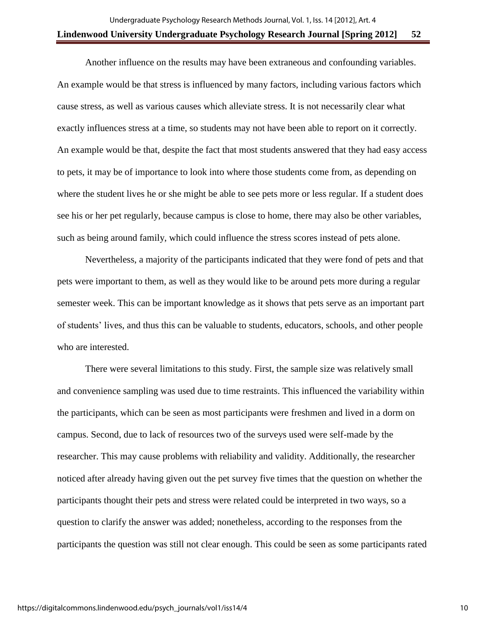Another influence on the results may have been extraneous and confounding variables. An example would be that stress is influenced by many factors, including various factors which cause stress, as well as various causes which alleviate stress. It is not necessarily clear what exactly influences stress at a time, so students may not have been able to report on it correctly. An example would be that, despite the fact that most students answered that they had easy access to pets, it may be of importance to look into where those students come from, as depending on where the student lives he or she might be able to see pets more or less regular. If a student does see his or her pet regularly, because campus is close to home, there may also be other variables, such as being around family, which could influence the stress scores instead of pets alone.

Nevertheless, a majority of the participants indicated that they were fond of pets and that pets were important to them, as well as they would like to be around pets more during a regular semester week. This can be important knowledge as it shows that pets serve as an important part of students' lives, and thus this can be valuable to students, educators, schools, and other people who are interested.

There were several limitations to this study. First, the sample size was relatively small and convenience sampling was used due to time restraints. This influenced the variability within the participants, which can be seen as most participants were freshmen and lived in a dorm on campus. Second, due to lack of resources two of the surveys used were self-made by the researcher. This may cause problems with reliability and validity. Additionally, the researcher noticed after already having given out the pet survey five times that the question on whether the participants thought their pets and stress were related could be interpreted in two ways, so a question to clarify the answer was added; nonetheless, according to the responses from the participants the question was still not clear enough. This could be seen as some participants rated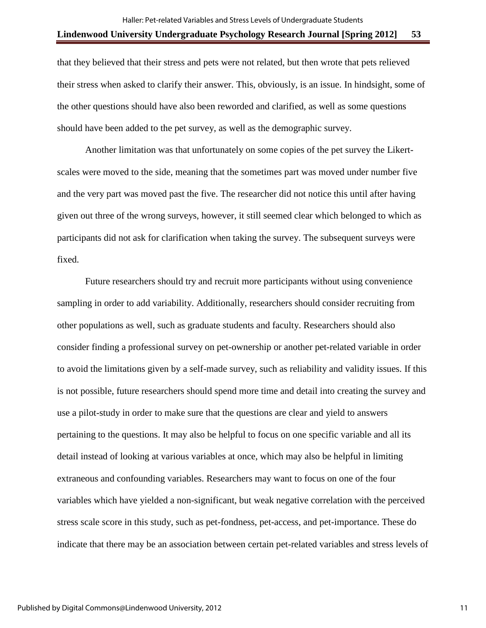that they believed that their stress and pets were not related, but then wrote that pets relieved their stress when asked to clarify their answer. This, obviously, is an issue. In hindsight, some of the other questions should have also been reworded and clarified, as well as some questions should have been added to the pet survey, as well as the demographic survey.

Another limitation was that unfortunately on some copies of the pet survey the Likertscales were moved to the side, meaning that the sometimes part was moved under number five and the very part was moved past the five. The researcher did not notice this until after having given out three of the wrong surveys, however, it still seemed clear which belonged to which as participants did not ask for clarification when taking the survey. The subsequent surveys were fixed.

Future researchers should try and recruit more participants without using convenience sampling in order to add variability. Additionally, researchers should consider recruiting from other populations as well, such as graduate students and faculty. Researchers should also consider finding a professional survey on pet-ownership or another pet-related variable in order to avoid the limitations given by a self-made survey, such as reliability and validity issues. If this is not possible, future researchers should spend more time and detail into creating the survey and use a pilot-study in order to make sure that the questions are clear and yield to answers pertaining to the questions. It may also be helpful to focus on one specific variable and all its detail instead of looking at various variables at once, which may also be helpful in limiting extraneous and confounding variables. Researchers may want to focus on one of the four variables which have yielded a non-significant, but weak negative correlation with the perceived stress scale score in this study, such as pet-fondness, pet-access, and pet-importance. These do indicate that there may be an association between certain pet-related variables and stress levels of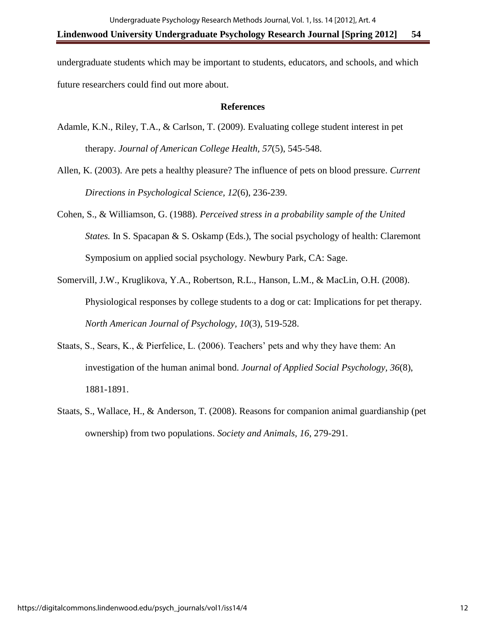undergraduate students which may be important to students, educators, and schools, and which future researchers could find out more about.

## **References**

- Adamle, K.N., Riley, T.A., & Carlson, T. (2009). Evaluating college student interest in pet therapy. *Journal of American College Health, 57*(5), 545-548.
- Allen, K. (2003). Are pets a healthy pleasure? The influence of pets on blood pressure. *Current Directions in Psychological Science, 12*(6), 236-239.
- Cohen, S., & Williamson, G. (1988). *Perceived stress in a probability sample of the United States.* In S. Spacapan & S. Oskamp (Eds.), The social psychology of health: Claremont Symposium on applied social psychology. Newbury Park, CA: Sage.
- Somervill, J.W., Kruglikova, Y.A., Robertson, R.L., Hanson, L.M., & MacLin, O.H. (2008). Physiological responses by college students to a dog or cat: Implications for pet therapy. *North American Journal of Psychology, 10*(3), 519-528.
- Staats, S., Sears, K., & Pierfelice, L. (2006). Teachers' pets and why they have them: An investigation of the human animal bond. *Journal of Applied Social Psychology, 36*(8), 1881-1891.
- Staats, S., Wallace, H., & Anderson, T. (2008). Reasons for companion animal guardianship (pet ownership) from two populations. *Society and Animals, 16*, 279-291.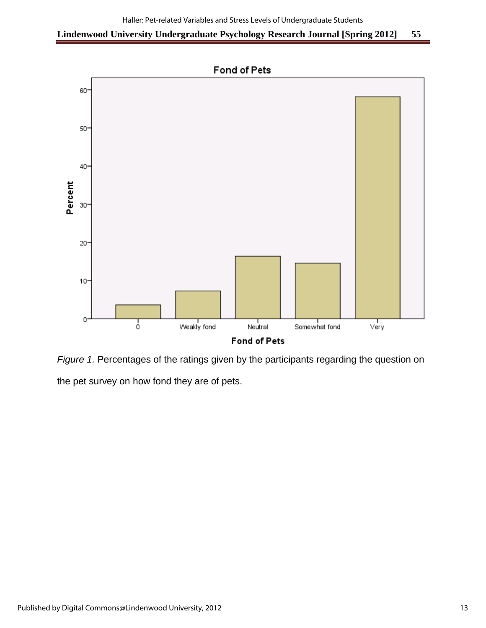

*Figure 1.* Percentages of the ratings given by the participants regarding the question on the pet survey on how fond they are of pets.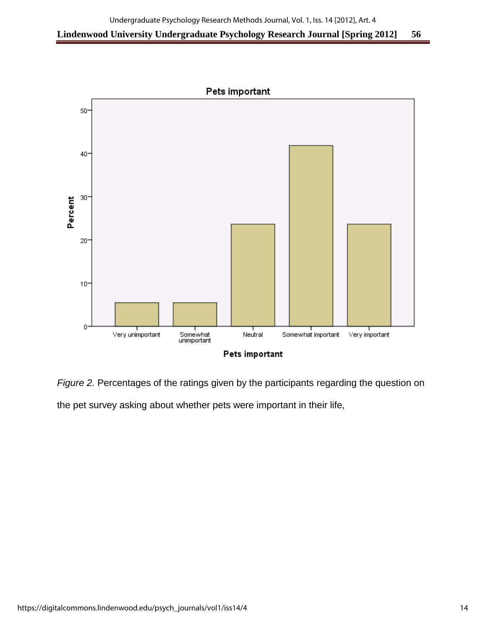

*Figure 2.* Percentages of the ratings given by the participants regarding the question on the pet survey asking about whether pets were important in their life,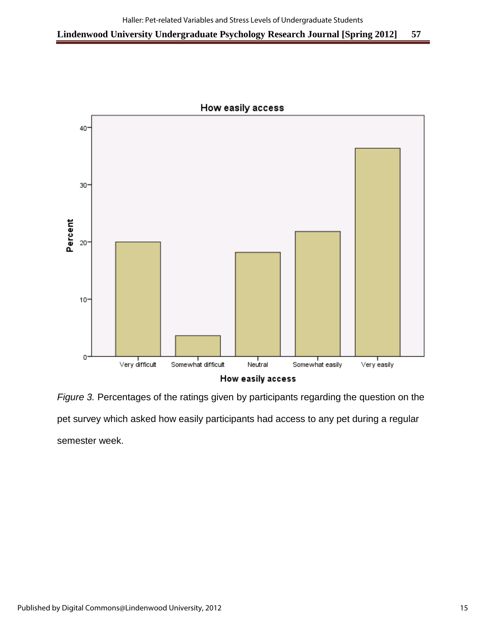

How easily access

*Figure 3.* Percentages of the ratings given by participants regarding the question on the pet survey which asked how easily participants had access to any pet during a regular semester week.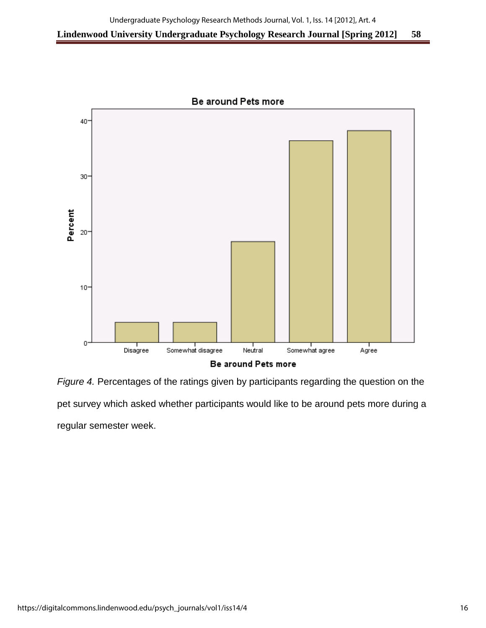

Be around Pets more

*Figure 4.* Percentages of the ratings given by participants regarding the question on the pet survey which asked whether participants would like to be around pets more during a regular semester week.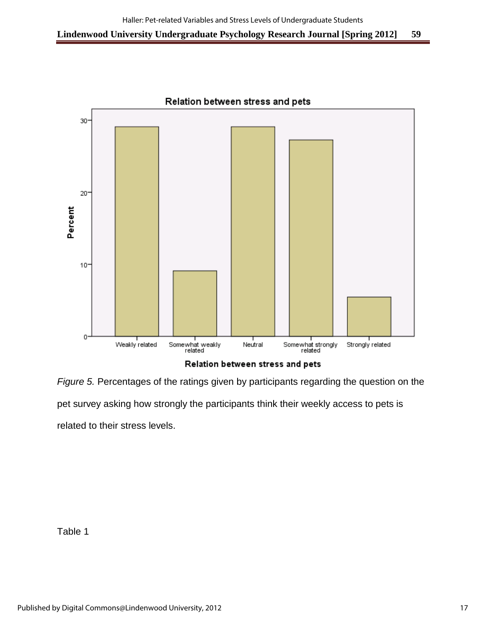

*Figure 5.* Percentages of the ratings given by participants regarding the question on the pet survey asking how strongly the participants think their weekly access to pets is

related to their stress levels.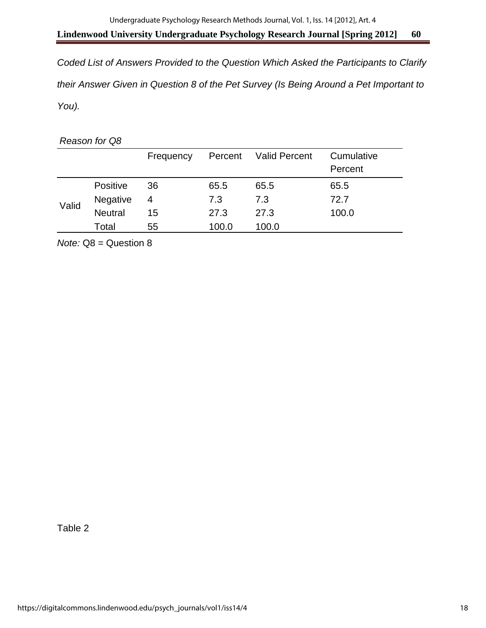*Coded List of Answers Provided to the Question Which Asked the Participants to Clarify their Answer Given in Question 8 of the Pet Survey (Is Being Around a Pet Important to You).* 

*Reason for Q8*

|       |                 | Frequency | Percent | <b>Valid Percent</b> | Cumulative<br>Percent |
|-------|-----------------|-----------|---------|----------------------|-----------------------|
|       | <b>Positive</b> | 36        | 65.5    | 65.5                 | 65.5                  |
| Valid | Negative        | 4         | 7.3     | 7.3                  | 72.7                  |
|       | <b>Neutral</b>  | 15        | 27.3    | 27.3                 | 100.0                 |
|       | Total           | 55        | 100.0   | 100.0                |                       |

*Note:* Q8 = Question 8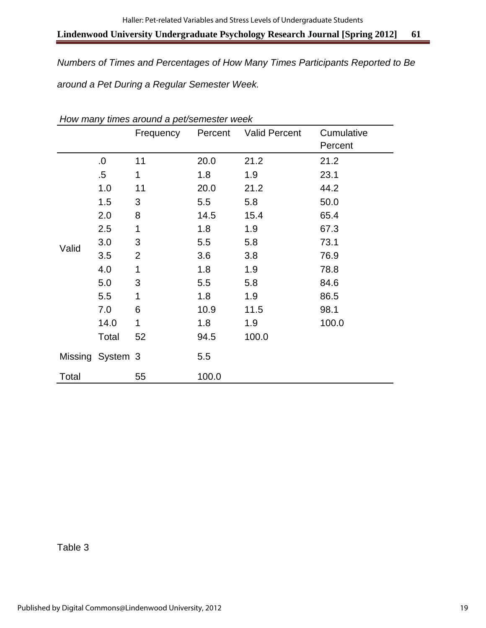*Numbers of Times and Percentages of How Many Times Participants Reported to Be around a Pet During a Regular Semester Week.* 

|       |                  | Frequency      | Percent | <b>Valid Percent</b> | Cumulative |
|-------|------------------|----------------|---------|----------------------|------------|
|       |                  |                |         |                      | Percent    |
|       | 0.               | 11             | 20.0    | 21.2                 | 21.2       |
|       | $.5\,$           | 1              | 1.8     | 1.9                  | 23.1       |
|       | 1.0              | 11             | 20.0    | 21.2                 | 44.2       |
|       | 1.5              | 3              | 5.5     | 5.8                  | 50.0       |
|       | 2.0              | 8              | 14.5    | 15.4                 | 65.4       |
|       | 2.5              | 1              | 1.8     | 1.9                  | 67.3       |
|       | 3.0              | 3              | 5.5     | 5.8                  | 73.1       |
| Valid | 3.5              | $\overline{2}$ | 3.6     | 3.8                  | 76.9       |
|       | 4.0              | 1              | 1.8     | 1.9                  | 78.8       |
|       | 5.0              | 3              | 5.5     | 5.8                  | 84.6       |
|       | 5.5              | 1              | 1.8     | 1.9                  | 86.5       |
|       | 7.0              | 6              | 10.9    | 11.5                 | 98.1       |
|       | 14.0             | 1              | 1.8     | 1.9                  | 100.0      |
|       | Total            | 52             | 94.5    | 100.0                |            |
|       | Missing System 3 |                | 5.5     |                      |            |
| Total |                  | 55             | 100.0   |                      |            |

*How many times around a pet/semester week*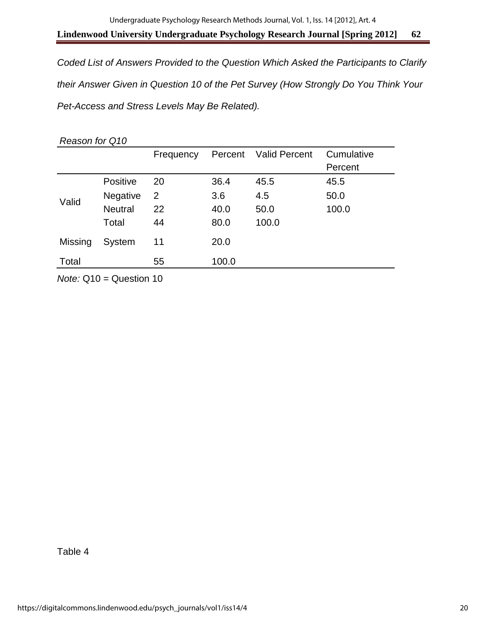*Coded List of Answers Provided to the Question Which Asked the Participants to Clarify their Answer Given in Question 10 of the Pet Survey (How Strongly Do You Think Your Pet-Access and Stress Levels May Be Related).* 

| Reason for Q10 |                 |                |         |                      |                       |  |
|----------------|-----------------|----------------|---------|----------------------|-----------------------|--|
|                |                 | Frequency      | Percent | <b>Valid Percent</b> | Cumulative<br>Percent |  |
|                | <b>Positive</b> | 20             | 36.4    | 45.5                 | 45.5                  |  |
| Valid          | <b>Negative</b> | $\overline{2}$ | 3.6     | 4.5                  | 50.0                  |  |
|                | <b>Neutral</b>  | 22             | 40.0    | 50.0                 | 100.0                 |  |
|                | Total           | 44             | 80.0    | 100.0                |                       |  |
| Missing        | System          | 11             | 20.0    |                      |                       |  |
| Total          |                 | 55             | 100.0   |                      |                       |  |

*Note:* Q10 = Question 10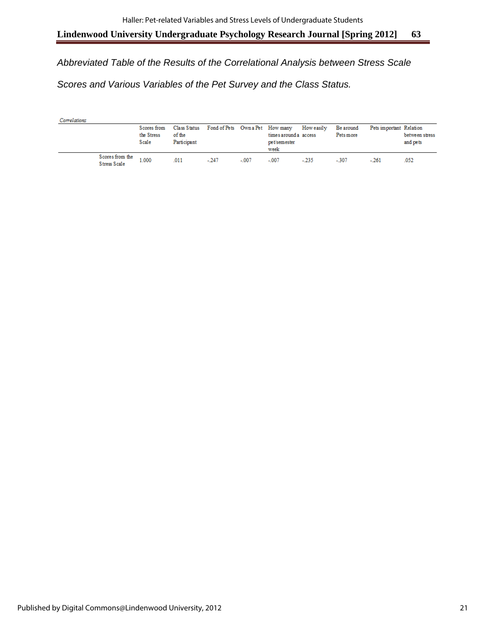*Abbreviated Table of the Results of the Correlational Analysis between Stress Scale Scores and Various Variables of the Pet Survey and the Class Status.* 

| Correlations |                                 |                                    |                       |                                              |         |                                               |            |                        |                         |                            |
|--------------|---------------------------------|------------------------------------|-----------------------|----------------------------------------------|---------|-----------------------------------------------|------------|------------------------|-------------------------|----------------------------|
|              |                                 | Scores from<br>the Stress<br>Scale | of the<br>Participant | Class Status Fond of Pets Own a Pet How many |         | times around a access<br>pet/semester<br>week | How easily | Be around<br>Pets more | Pets important Relation | between stress<br>and pets |
|              | Scores from the<br>Stress Scale | 1.000                              | .011                  | $-247$                                       | $-.007$ | $-.007$                                       | $-235$     | $-307$                 | $-261$                  | .052                       |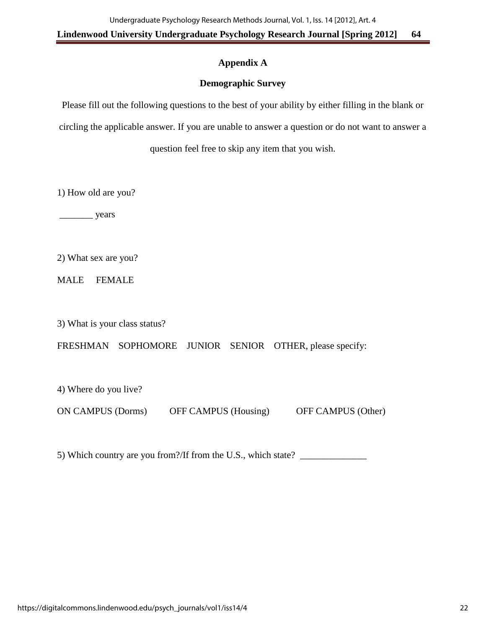## **Appendix A**

## **Demographic Survey**

Please fill out the following questions to the best of your ability by either filling in the blank or circling the applicable answer. If you are unable to answer a question or do not want to answer a question feel free to skip any item that you wish.

1) How old are you?

\_\_\_\_\_\_\_ years

2) What sex are you?

MALE FEMALE

3) What is your class status?

FRESHMAN SOPHOMORE JUNIOR SENIOR OTHER, please specify:

4) Where do you live?

ON CAMPUS (Dorms) OFF CAMPUS (Housing) OFF CAMPUS (Other)

5) Which country are you from?/If from the U.S., which state?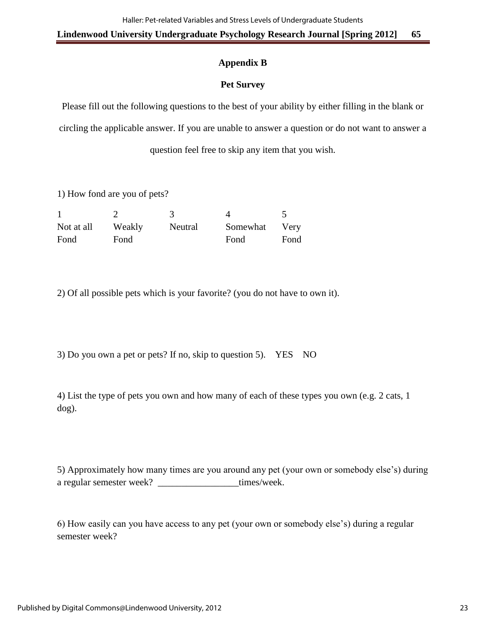# **Appendix B**

# **Pet Survey**

Please fill out the following questions to the best of your ability by either filling in the blank or circling the applicable answer. If you are unable to answer a question or do not want to answer a question feel free to skip any item that you wish.

1) How fond are you of pets?

| Not at all | Weakly | Neutral | Somewhat | Very |
|------------|--------|---------|----------|------|
| Fond       | Fond   |         | Fond     | Fond |

2) Of all possible pets which is your favorite? (you do not have to own it).

3) Do you own a pet or pets? If no, skip to question 5). YES NO

4) List the type of pets you own and how many of each of these types you own (e.g. 2 cats, 1 dog).

5) Approximately how many times are you around any pet (your own or somebody else's) during a regular semester week? \_\_\_\_\_\_\_\_\_\_\_\_\_\_\_\_\_\_times/week.

6) How easily can you have access to any pet (your own or somebody else's) during a regular semester week?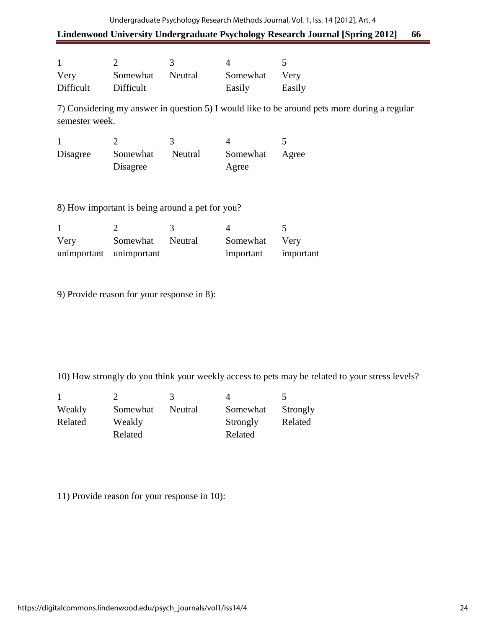### Undergraduate Psychology Research Methods Journal, Vol. 1, Iss. 14 [2012], Art. 4

# **Lindenwood University Undergraduate Psychology Research Journal [Spring 2012] 66**

| Very      | Somewhat  | Neutral | Somewhat | Very   |
|-----------|-----------|---------|----------|--------|
| Difficult | Difficult |         | Easily   | Easily |

7) Considering my answer in question 5) I would like to be around pets more during a regular semester week.

| Disagree | Somewhat | Neutral | Somewhat | Agree |
|----------|----------|---------|----------|-------|
|          | Disagree |         | Agree    |       |

8) How important is being around a pet for you?

| Very                    | Somewhat Neutral | Somewhat Very       |  |
|-------------------------|------------------|---------------------|--|
| unimportant unimportant |                  | important important |  |

9) Provide reason for your response in 8):

10) How strongly do you think your weekly access to pets may be related to your stress levels?

| Weakly  | Somewhat | Neutral | Somewhat | Strongly |
|---------|----------|---------|----------|----------|
| Related | Weakly   |         | Strongly | Related  |
|         | Related  |         | Related  |          |

11) Provide reason for your response in 10):